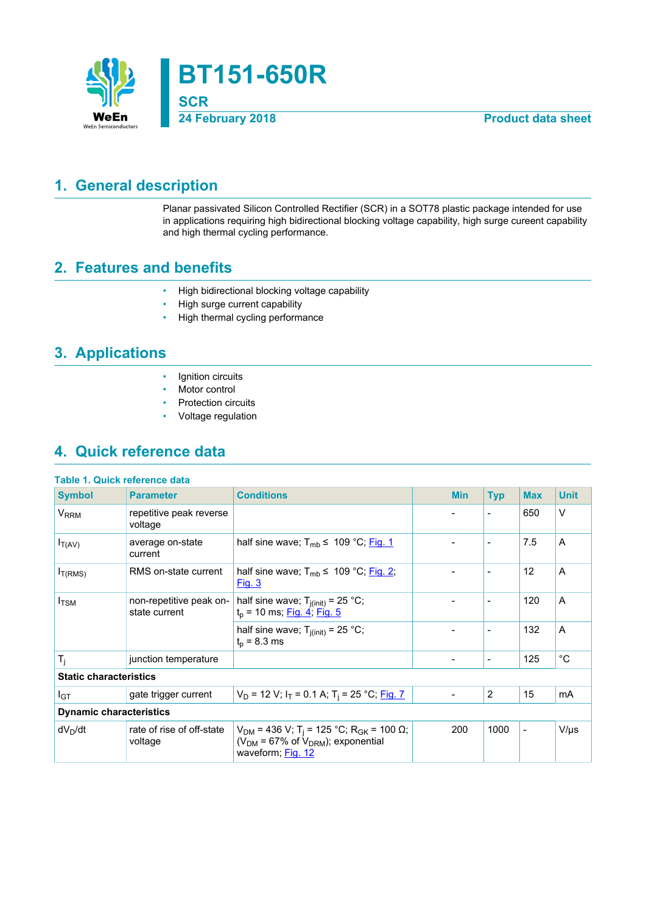

## <span id="page-0-0"></span>**1. General description**

Planar passivated Silicon Controlled Rectifier (SCR) in a SOT78 plastic package intended for use in applications requiring high bidirectional blocking voltage capability, high surge cureent capability and high thermal cycling performance.

## <span id="page-0-1"></span>**2. Features and benefits**

- High bidirectional blocking voltage capability
- High surge current capability
- High thermal cycling performance

## <span id="page-0-2"></span>**3. Applications**

- Ignition circuits
- Motor control
- Protection circuits
- Voltage regulation

## <span id="page-0-3"></span>**4. Quick reference data**

| Table 1. Quick reference data  |                                          |                                                                                                                                          |  |                          |                          |                          |                |
|--------------------------------|------------------------------------------|------------------------------------------------------------------------------------------------------------------------------------------|--|--------------------------|--------------------------|--------------------------|----------------|
| <b>Symbol</b>                  | <b>Parameter</b>                         | <b>Conditions</b>                                                                                                                        |  | <b>Min</b>               | <b>Typ</b>               | <b>Max</b>               | <b>Unit</b>    |
| V <sub>RRM</sub>               | repetitive peak reverse<br>voltage       |                                                                                                                                          |  |                          | $\overline{\phantom{0}}$ | 650                      | $\vee$         |
| $I_{T(AV)}$                    | average on-state<br>current              | half sine wave; $T_{mb} \leq 109 \degree C$ ; Fig. 1                                                                                     |  | $\overline{\phantom{0}}$ | $\overline{\phantom{a}}$ | 7.5                      | A              |
| I <sub>T(RMS)</sub>            | RMS on-state current                     | half sine wave; $T_{mb} \leq 109 \degree C$ ; Fig. 2;<br><u>Fig. 3</u>                                                                   |  |                          | $\overline{\phantom{a}}$ | 12                       | $\overline{A}$ |
| $I_{\text{TSM}}$               | non-repetitive peak on-<br>state current | half sine wave; $T_{i(int)} = 25 °C$ ;<br>$t_p$ = 10 ms; <u>Fig. 4; Fig. 5</u>                                                           |  | $\blacksquare$           | $\overline{\phantom{a}}$ | 120                      | A              |
|                                |                                          | half sine wave; $T_{j(int)} = 25 °C$ ;<br>$t_{p}$ = 8.3 ms                                                                               |  | $\blacksquare$           | $\overline{\phantom{a}}$ | 132                      | A              |
| $T_i$                          | junction temperature                     |                                                                                                                                          |  | $\overline{\phantom{a}}$ | $\overline{\phantom{a}}$ | 125                      | $^{\circ}C$    |
| <b>Static characteristics</b>  |                                          |                                                                                                                                          |  |                          |                          |                          |                |
| I <sub>GT</sub>                | gate trigger current                     | $V_D$ = 12 V; $I_T$ = 0.1 A; T <sub>i</sub> = 25 °C; Fig. 7                                                                              |  |                          | $\overline{2}$           | 15                       | mA             |
| <b>Dynamic characteristics</b> |                                          |                                                                                                                                          |  |                          |                          |                          |                |
| $dV_D/dt$                      | rate of rise of off-state<br>voltage     | $V_{DM}$ = 436 V; T <sub>i</sub> = 125 °C; R <sub>GK</sub> = 100 Ω;<br>( $V_{DM}$ = 67% of $V_{DRM}$ ); exponential<br>waveform; Fig. 12 |  | 200                      | 1000                     | $\overline{\phantom{a}}$ | $V/\mu s$      |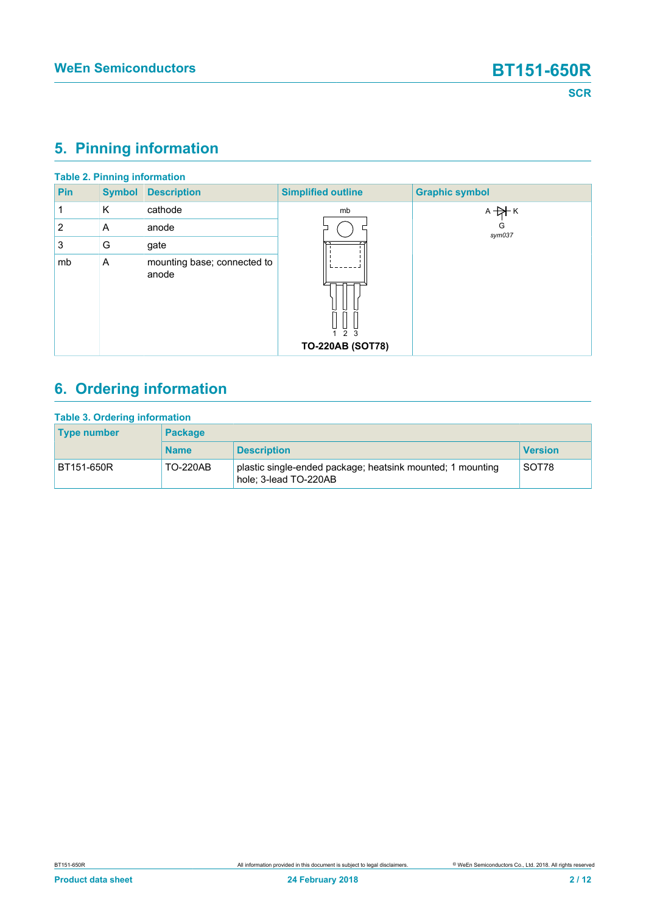# <span id="page-1-0"></span>**5. Pinning information**

| <b>Table 2. Pinning information</b> |               |                                      |                                                |                       |  |  |  |
|-------------------------------------|---------------|--------------------------------------|------------------------------------------------|-----------------------|--|--|--|
| Pin                                 | <b>Symbol</b> | <b>Description</b>                   | <b>Simplified outline</b>                      | <b>Graphic symbol</b> |  |  |  |
| 1                                   | Κ             | cathode                              | mb                                             | $A + A K$             |  |  |  |
| $\overline{2}$                      | A             | anode                                |                                                | G<br>sym037           |  |  |  |
| 3                                   | G             | gate                                 |                                                |                       |  |  |  |
| mb                                  | A             | mounting base; connected to<br>anode | $\overline{2}$<br>3<br><b>TO-220AB (SOT78)</b> |                       |  |  |  |

# <span id="page-1-1"></span>**6. Ordering information**

| <b>Table 3. Ordering information</b> |                 |                                                                                     |                |  |  |  |  |
|--------------------------------------|-----------------|-------------------------------------------------------------------------------------|----------------|--|--|--|--|
| <b>Type number</b>                   | <b>Package</b>  |                                                                                     |                |  |  |  |  |
|                                      | <b>Name</b>     | <b>Description</b>                                                                  | <b>Version</b> |  |  |  |  |
| BT151-650R                           | <b>TO-220AB</b> | plastic single-ended package; heatsink mounted; 1 mounting<br>hole; 3-lead TO-220AB | SOT78          |  |  |  |  |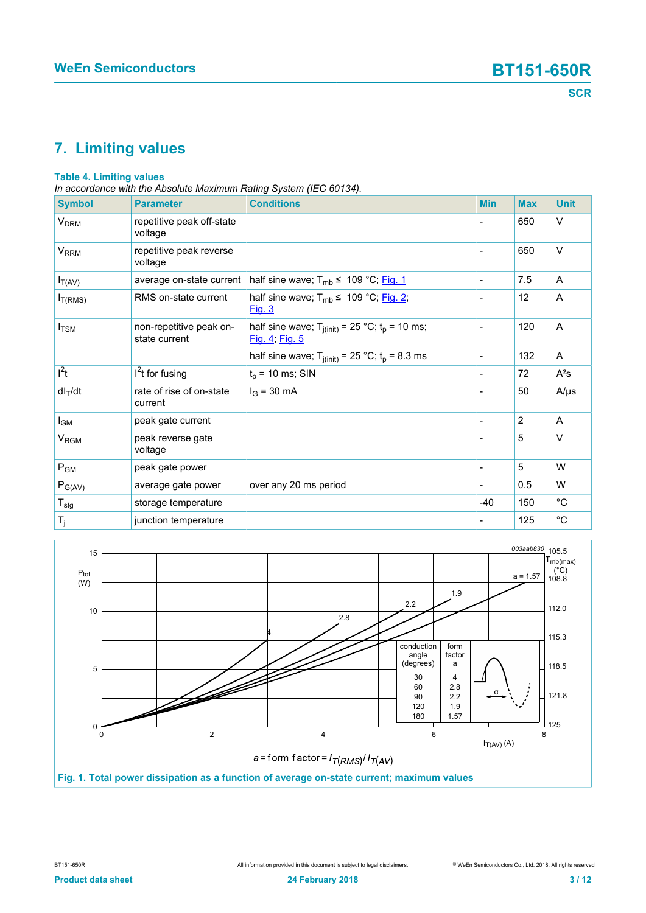# <span id="page-2-1"></span>**7. Limiting values**

#### **Table 4. Limiting values**

*In accordance with the Absolute Maximum Rating System (IEC 60134).*

| <b>Symbol</b>               | <b>Parameter</b>                         | <b>Conditions</b>                                                       | <b>Min</b>                   | <b>Max</b>     | <b>Unit</b> |
|-----------------------------|------------------------------------------|-------------------------------------------------------------------------|------------------------------|----------------|-------------|
| <b>V<sub>DRM</sub></b>      | repetitive peak off-state<br>voltage     |                                                                         |                              | 650            | V           |
| V <sub>RRM</sub>            | repetitive peak reverse<br>voltage       |                                                                         | $\blacksquare$               | 650            | V           |
| $I_{T(AV)}$                 | average on-state current                 | half sine wave; $T_{mb} \leq 109 °C$ ; Fig. 1                           | $\qquad \qquad \blacksquare$ | 7.5            | A           |
| $I_{T(RMS)}$                | RMS on-state current                     | half sine wave; $T_{mb} \leq 109 \degree C$ ; Fig. 2;<br>Fig. 3         |                              | 12             | A           |
| $I_{\rm TSM}$               | non-repetitive peak on-<br>state current | half sine wave; $T_{j(int)} = 25 °C$ ; $t_p = 10$ ms;<br>Fig. 4; Fig. 5 | $\blacksquare$               | 120            | A           |
|                             |                                          | half sine wave; $T_{j(int)} = 25 °C$ ; $t_p = 8.3$ ms                   | $\overline{\phantom{a}}$     | 132            | A           |
| $l^2t$                      | $I2t$ for fusing                         | $t_p$ = 10 ms; SIN                                                      | $\blacksquare$               | 72             | $A^2s$      |
| $dl_T/dt$                   | rate of rise of on-state<br>current      | $I_G = 30 \text{ mA}$                                                   |                              | 50             | $A/\mu s$   |
| I <sub>GM</sub>             | peak gate current                        |                                                                         | $\overline{\phantom{a}}$     | $\overline{2}$ | A           |
| $\rm V_{\rm RGM}$           | peak reverse gate<br>voltage             |                                                                         | $\blacksquare$               | 5              | $\vee$      |
| $P_{GM}$                    | peak gate power                          |                                                                         |                              | 5              | W           |
| $P_{G(AV)}$                 | average gate power                       | over any 20 ms period                                                   |                              | 0.5            | W           |
| $\mathsf{T}_{\textsf{stg}}$ | storage temperature                      |                                                                         | $-40$                        | 150            | $^{\circ}C$ |
| $T_j$                       | junction temperature                     |                                                                         |                              | 125            | $^{\circ}C$ |

<span id="page-2-0"></span>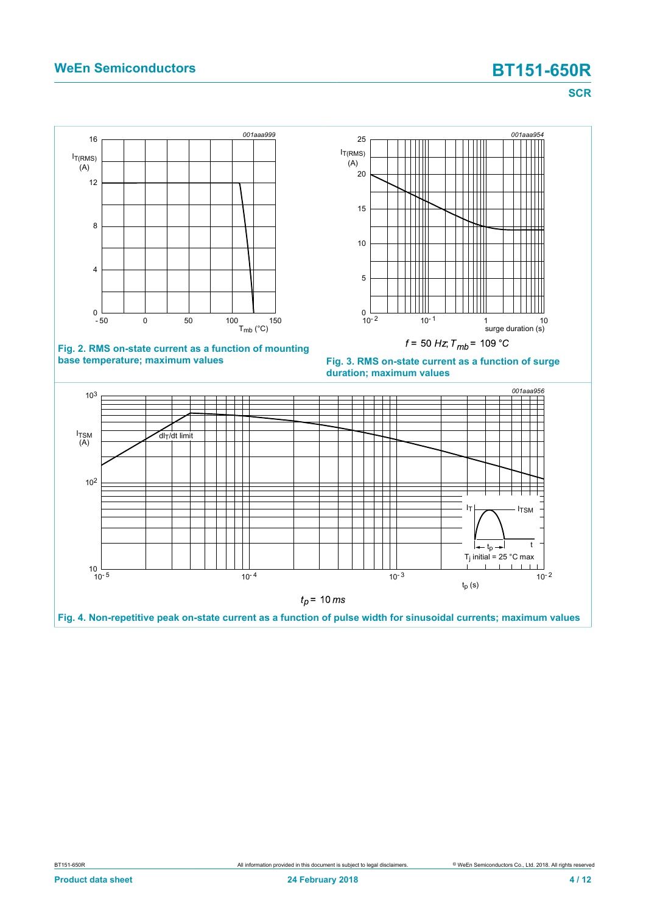### **WeEn Semiconductors BT151-650R**

**SCR**

<span id="page-3-0"></span>

<span id="page-3-1"></span>

**Fig. 2. RMS on-state current as a function of mounting base temperature; maximum values**



<span id="page-3-2"></span>

**Fig. 4. Non-repetitive peak on-state current as a function of pulse width for sinusoidal currents; maximum values**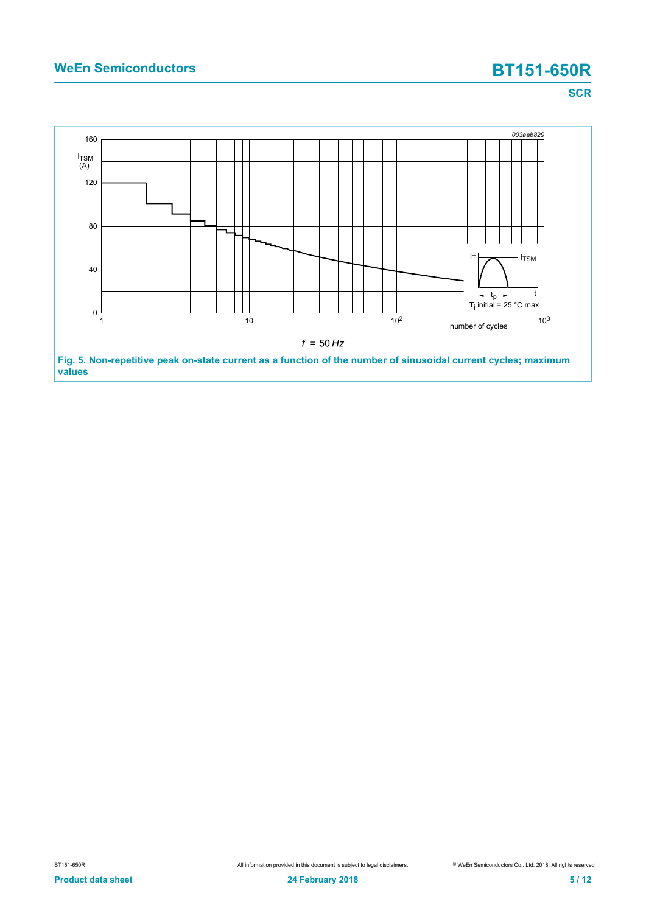# **WeEn Semiconductors BT151-650R**

**SCR**

<span id="page-4-0"></span>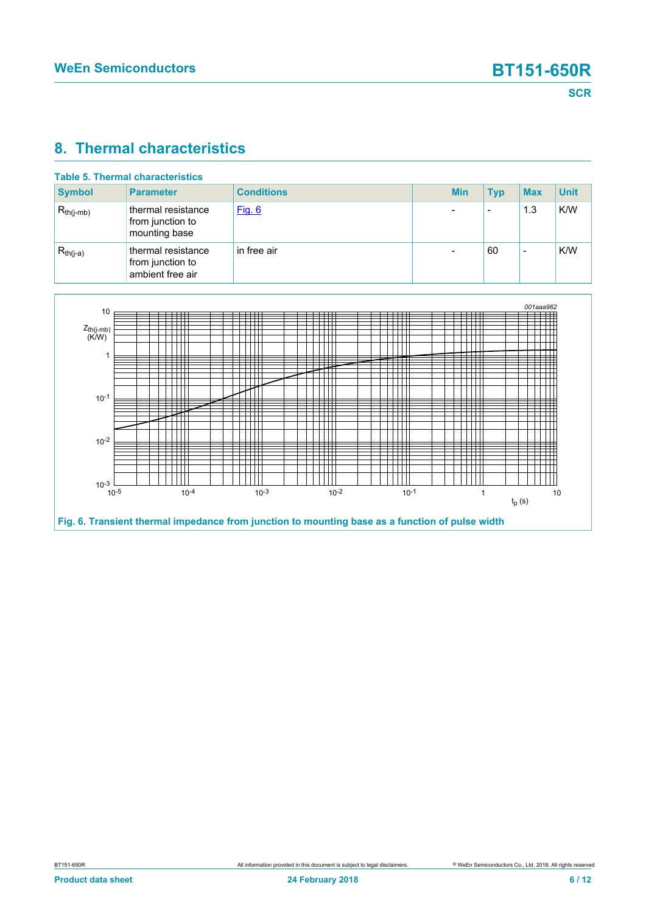### <span id="page-5-1"></span>**8. Thermal characteristics**

| Table 5. Thermal characteristics |                                                            |                   |  |            |                          |                          |             |
|----------------------------------|------------------------------------------------------------|-------------------|--|------------|--------------------------|--------------------------|-------------|
| <b>Symbol</b>                    | <b>Parameter</b>                                           | <b>Conditions</b> |  | <b>Min</b> | <b>Typ</b>               | <b>Max</b>               | <b>Unit</b> |
| $R_{th(i-mb)}$                   | thermal resistance<br>from junction to<br>mounting base    | Fig. 6            |  |            | $\overline{\phantom{a}}$ | 1.3                      | K/W         |
| $R_{th(j-a)}$                    | thermal resistance<br>from junction to<br>ambient free air | in free air       |  |            | 60                       | $\overline{\phantom{0}}$ | K/W         |

<span id="page-5-0"></span>

**Fig. 6. Transient thermal impedance from junction to mounting base as a function of pulse width**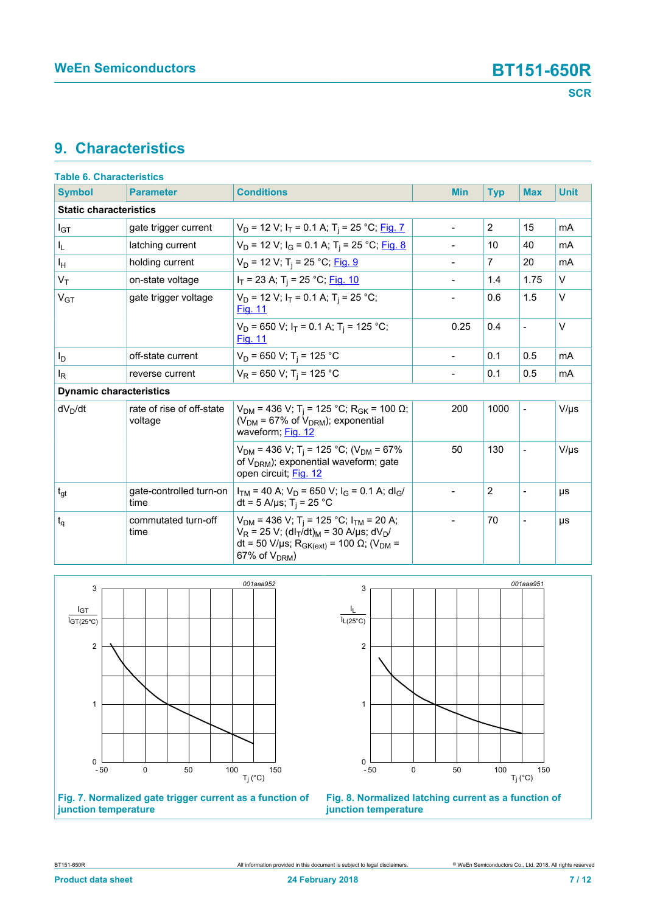### <span id="page-6-2"></span>**9. Characteristics**

| <b>Table 6. Characteristics</b> |                                      |                                                                                                                                                                                                                                             |                |                |                          |             |
|---------------------------------|--------------------------------------|---------------------------------------------------------------------------------------------------------------------------------------------------------------------------------------------------------------------------------------------|----------------|----------------|--------------------------|-------------|
| <b>Symbol</b>                   | <b>Parameter</b>                     | <b>Conditions</b>                                                                                                                                                                                                                           | <b>Min</b>     | <b>Typ</b>     | <b>Max</b>               | <b>Unit</b> |
| <b>Static characteristics</b>   |                                      |                                                                                                                                                                                                                                             |                |                |                          |             |
| $I_{GT}$                        | gate trigger current                 | $V_D$ = 12 V; $I_T$ = 0.1 A; T <sub>j</sub> = 25 °C; Fig. 7                                                                                                                                                                                 | $\overline{a}$ | $\overline{2}$ | 15                       | mA          |
| IL.                             | latching current                     | $V_D$ = 12 V; $I_G$ = 0.1 A; T <sub>i</sub> = 25 °C; Fig. 8                                                                                                                                                                                 |                | 10             | 40                       | mA          |
| Iн                              | holding current                      | $V_D$ = 12 V; T <sub>i</sub> = 25 °C; Fig. 9                                                                                                                                                                                                | $\overline{a}$ | $\overline{7}$ | 20                       | mA          |
| $V_T$                           | on-state voltage                     | $I_T$ = 23 A; T <sub>i</sub> = 25 °C; <u>Fig. 10</u>                                                                                                                                                                                        |                | 1.4            | 1.75                     | $\vee$      |
| V <sub>GT</sub>                 | gate trigger voltage                 | $V_D$ = 12 V; $I_T$ = 0.1 A; T <sub>i</sub> = 25 °C;<br><b>Fig. 11</b>                                                                                                                                                                      |                | 0.6            | 1.5                      | $\vee$      |
|                                 |                                      | $V_D$ = 650 V; $I_T$ = 0.1 A; T <sub>i</sub> = 125 °C;<br><b>Fig. 11</b>                                                                                                                                                                    | 0.25           | 0.4            | $\overline{a}$           | $\vee$      |
| Iр                              | off-state current                    | $V_D$ = 650 V; T <sub>i</sub> = 125 °C                                                                                                                                                                                                      | $\overline{a}$ | 0.1            | 0.5                      | mA          |
| ΙR                              | reverse current                      | $V_R$ = 650 V; T <sub>i</sub> = 125 °C                                                                                                                                                                                                      | $\overline{a}$ | 0.1            | 0.5                      | mA          |
| <b>Dynamic characteristics</b>  |                                      |                                                                                                                                                                                                                                             |                |                |                          |             |
| $dV_D/dt$                       | rate of rise of off-state<br>voltage | $V_{DM}$ = 436 V; T <sub>i</sub> = 125 °C; R <sub>GK</sub> = 100 Ω;<br>( $V_{DM}$ = 67% of $V_{DRM}$ ); exponential<br>waveform; Fig. 12                                                                                                    | 200            | 1000           | $\blacksquare$           | $V/\mu s$   |
|                                 |                                      | $V_{DM}$ = 436 V; T <sub>i</sub> = 125 °C; (V <sub>DM</sub> = 67%<br>of $V_{DRM}$ ); exponential waveform; gate<br>open circuit; Fig. 12                                                                                                    | 50             | 130            |                          | $V/\mu s$   |
| $t_{gt}$                        | gate-controlled turn-on<br>time      | $I_{TM}$ = 40 A; $V_D$ = 650 V; $I_G$ = 0.1 A; dl <sub>G</sub> /<br>dt = 5 A/µs; T <sub>i</sub> = 25 °C                                                                                                                                     | $\overline{a}$ | $\overline{2}$ | $\overline{\phantom{0}}$ | μs          |
| $t_{q}$                         | commutated turn-off<br>time          | $V_{DM}$ = 436 V; T <sub>i</sub> = 125 °C; I <sub>TM</sub> = 20 A;<br>$V_R$ = 25 V; (dl <sub>T</sub> /dt) <sub>M</sub> = 30 A/µs; dV <sub>D</sub> /<br>dt = 50 V/μs; R <sub>GK(ext)</sub> = 100 Ω; (V <sub>DM</sub> =<br>67% of $V_{DRM}$ ) | $\overline{a}$ | 70             | $\blacksquare$           | μs          |

<span id="page-6-0"></span>

**Fig. 7. Normalized gate trigger current as a function of junction temperature**

<span id="page-6-1"></span>

**Fig. 8. Normalized latching current as a function of junction temperature**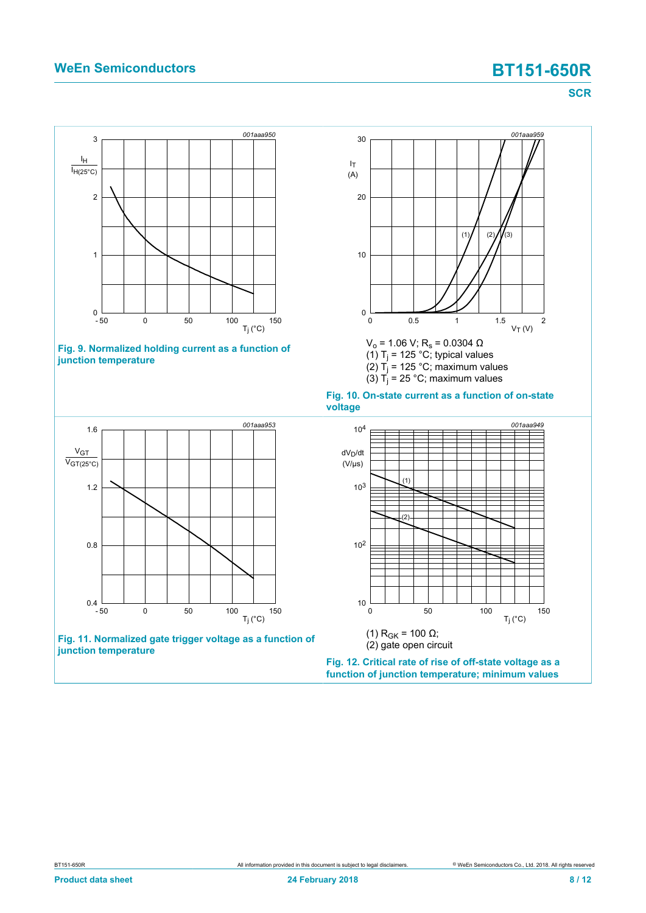### **WeEn Semiconductors BT151-650R**

<span id="page-7-2"></span><span id="page-7-0"></span>**SCR**

<span id="page-7-3"></span><span id="page-7-1"></span>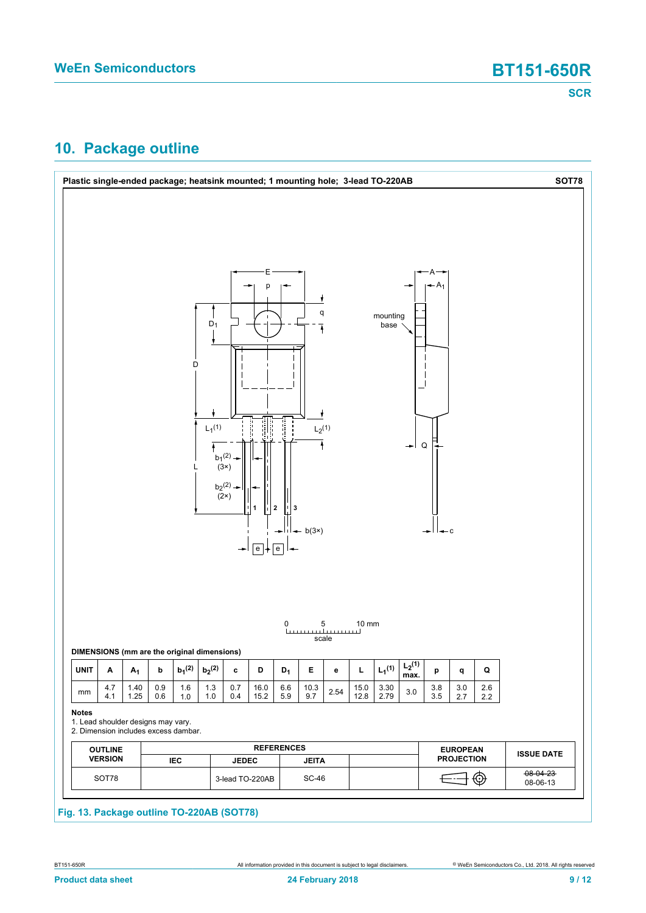### <span id="page-8-0"></span>**10. Package outline**

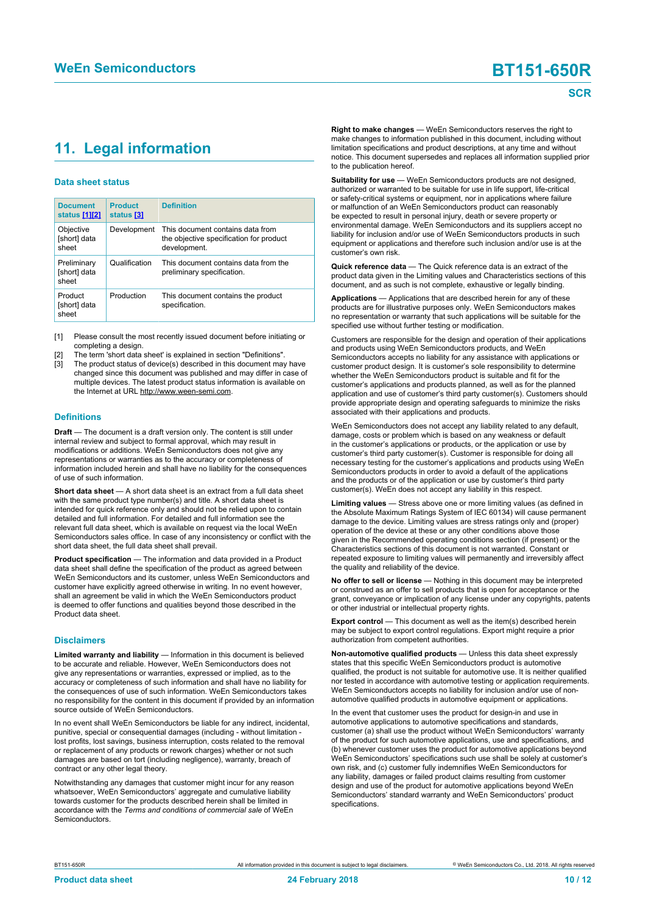## <span id="page-9-1"></span><span id="page-9-0"></span>**11. Legal information**

#### **Data sheet status**

| <b>Document</b><br>status [1][2]     | <b>Product</b><br>status [3] | <b>Definition</b>                                                                           |
|--------------------------------------|------------------------------|---------------------------------------------------------------------------------------------|
| Objective<br>[short] data<br>sheet   | Development                  | This document contains data from<br>the objective specification for product<br>development. |
| Preliminary<br>[short] data<br>sheet | Qualification                | This document contains data from the<br>preliminary specification.                          |
| Product<br>[short] data<br>sheet     | Production                   | This document contains the product<br>specification.                                        |

[1] Please consult the most recently issued document before initiating or completing a design.

- The term 'short data sheet' is explained in section "Definitions".
- The product status of device(s) described in this document may have changed since this document was published and may differ in case of multiple devices. The latest product status information is available on the Internet at URL http://www.ween-semi.com.

#### **Definitions**

**Draft** — The document is a draft version only. The content is still under internal review and subject to formal approval, which may result in modifications or additions. WeEn Semiconductors does not give any representations or warranties as to the accuracy or completeness of information included herein and shall have no liability for the consequences of use of such information.

**Short data sheet** — A short data sheet is an extract from a full data sheet with the same product type number(s) and title. A short data sheet is intended for quick reference only and should not be relied upon to contain detailed and full information. For detailed and full information see the relevant full data sheet, which is available on request via the local WeEn Semiconductors sales office. In case of any inconsistency or conflict with the short data sheet, the full data sheet shall prevail.

**Product specification** — The information and data provided in a Product data sheet shall define the specification of the product as agreed between WeEn Semiconductors and its customer, unless WeEn Semiconductors and customer have explicitly agreed otherwise in writing. In no event however, shall an agreement be valid in which the WeEn Semiconductors product is deemed to offer functions and qualities beyond those described in the Product data sheet.

#### **Disclaimers**

**Limited warranty and liability** — Information in this document is believed to be accurate and reliable. However, WeEn Semiconductors does not give any representations or warranties, expressed or implied, as to the accuracy or completeness of such information and shall have no liability for the consequences of use of such information. WeEn Semiconductors takes no responsibility for the content in this document if provided by an information source outside of WeEn Semiconductors.

In no event shall WeEn Semiconductors be liable for any indirect, incidental, punitive, special or consequential damages (including - without limitation lost profits, lost savings, business interruption, costs related to the removal or replacement of any products or rework charges) whether or not such damages are based on tort (including negligence), warranty, breach of contract or any other legal theory.

Notwithstanding any damages that customer might incur for any reason whatsoever, WeEn Semiconductors' aggregate and cumulative liability towards customer for the products described herein shall be limited in accordance with the *Terms and conditions of commercial sale* of WeEn **Semiconductors** 

**Right to make changes** — WeEn Semiconductors reserves the right to make changes to information published in this document, including without limitation specifications and product descriptions, at any time and without notice. This document supersedes and replaces all information supplied prior to the publication hereof.

**Suitability for use** — WeEn Semiconductors products are not designed, authorized or warranted to be suitable for use in life support, life-critical or safety-critical systems or equipment, nor in applications where failure or malfunction of an WeEn Semiconductors product can reasonably be expected to result in personal injury, death or severe property or environmental damage. WeEn Semiconductors and its suppliers accept no liability for inclusion and/or use of WeEn Semiconductors products in such equipment or applications and therefore such inclusion and/or use is at the customer's own risk.

**Quick reference data** — The Quick reference data is an extract of the product data given in the Limiting values and Characteristics sections of this document, and as such is not complete, exhaustive or legally binding.

**Applications** — Applications that are described herein for any of these products are for illustrative purposes only. WeEn Semiconductors makes no representation or warranty that such applications will be suitable for the specified use without further testing or modification.

Customers are responsible for the design and operation of their applications and products using WeEn Semiconductors products, and WeEn Semiconductors accepts no liability for any assistance with applications or customer product design. It is customer's sole responsibility to determine whether the WeEn Semiconductors product is suitable and fit for the customer's applications and products planned, as well as for the planned application and use of customer's third party customer(s). Customers should provide appropriate design and operating safeguards to minimize the risks associated with their applications and products.

WeEn Semiconductors does not accept any liability related to any default, damage, costs or problem which is based on any weakness or default in the customer's applications or products, or the application or use by customer's third party customer(s). Customer is responsible for doing all necessary testing for the customer's applications and products using WeEn Semiconductors products in order to avoid a default of the applications and the products or of the application or use by customer's third party customer(s). WeEn does not accept any liability in this respect.

**Limiting values** — Stress above one or more limiting values (as defined in the Absolute Maximum Ratings System of IEC 60134) will cause permanent damage to the device. Limiting values are stress ratings only and (proper) operation of the device at these or any other conditions above those given in the Recommended operating conditions section (if present) or the Characteristics sections of this document is not warranted. Constant or repeated exposure to limiting values will permanently and irreversibly affect the quality and reliability of the device.

**No offer to sell or license** — Nothing in this document may be interpreted or construed as an offer to sell products that is open for acceptance or the grant, conveyance or implication of any license under any copyrights, patents or other industrial or intellectual property rights.

**Export control** — This document as well as the item(s) described herein may be subject to export control regulations. Export might require a prior authorization from competent authorities.

**Non-automotive qualified products** — Unless this data sheet expressly states that this specific WeEn Semiconductors product is automotive qualified, the product is not suitable for automotive use. It is neither qualified nor tested in accordance with automotive testing or application requirements. WeEn Semiconductors accepts no liability for inclusion and/or use of nonautomotive qualified products in automotive equipment or applications.

In the event that customer uses the product for design-in and use in automotive applications to automotive specifications and standards, customer (a) shall use the product without WeEn Semiconductors' warranty of the product for such automotive applications, use and specifications, and (b) whenever customer uses the product for automotive applications beyond WeEn Semiconductors' specifications such use shall be solely at customer's own risk, and (c) customer fully indemnifies WeEn Semiconductors for any liability, damages or failed product claims resulting from customer design and use of the product for automotive applications beyond WeEn Semiconductors' standard warranty and WeEn Semiconductors' product specifications.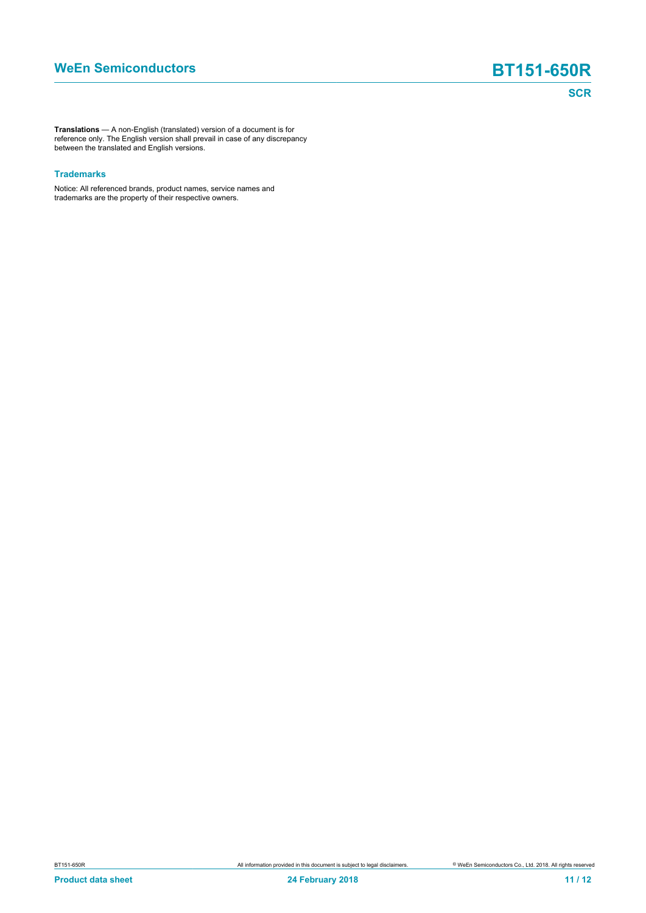**Translations** — A non-English (translated) version of a document is for reference only. The English version shall prevail in case of any discrepancy between the translated and English versions.

#### **Trademarks**

Notice: All referenced brands, product names, service names and trademarks are the property of their respective owners.